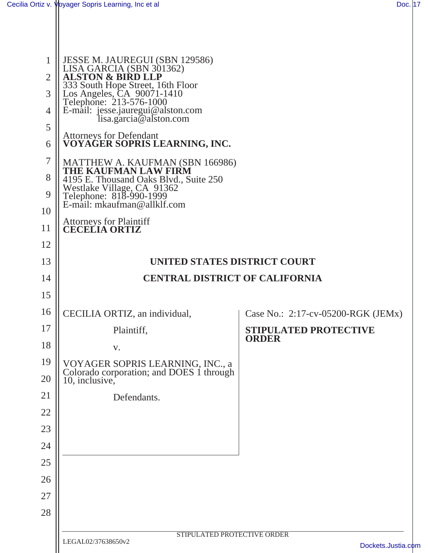| 1<br>$\overline{2}$<br>3<br>$\overline{4}$<br>5<br>6<br>7<br>8<br>9 | JESSE M. JAUREGUI (SBN 129586)<br>LISA GARCIA (SBN 301362)<br><b>ALSTON &amp; BIRD LLP</b><br>333 South Hope Street, 16th Floor<br>Los Angeles, CA 90071-1410<br>Telephone: 213-576-1000<br>E-mail: jesse.jauregui@alston.com<br>lisa.garcia@alston.com<br><b>Attorneys for Defendant</b><br>VOYAĞER SOPRIS LEARNING, INC.<br>MATTHEW A. KAUFMAN (SBN 166986)<br>THE KAUFMAN LAW FIRM<br>4195 E. Thousand Oaks Blvd., Suite 250<br>Westlake Village, CA 91362<br>Telephone: 818-990-1999<br>E-mail: mkaufman@allklf.com |                                    |
|---------------------------------------------------------------------|-------------------------------------------------------------------------------------------------------------------------------------------------------------------------------------------------------------------------------------------------------------------------------------------------------------------------------------------------------------------------------------------------------------------------------------------------------------------------------------------------------------------------|------------------------------------|
| 10                                                                  |                                                                                                                                                                                                                                                                                                                                                                                                                                                                                                                         |                                    |
| 11                                                                  | <b>Attorneys for Plaintiff</b><br><b>CECELIA ORTIZ</b>                                                                                                                                                                                                                                                                                                                                                                                                                                                                  |                                    |
| 12                                                                  |                                                                                                                                                                                                                                                                                                                                                                                                                                                                                                                         |                                    |
| 13                                                                  | UNITED STATES DISTRICT COURT                                                                                                                                                                                                                                                                                                                                                                                                                                                                                            |                                    |
| 14                                                                  | <b>CENTRAL DISTRICT OF CALIFORNIA</b>                                                                                                                                                                                                                                                                                                                                                                                                                                                                                   |                                    |
| 15                                                                  |                                                                                                                                                                                                                                                                                                                                                                                                                                                                                                                         |                                    |
| 16                                                                  | CECILIA ORTIZ, an individual,                                                                                                                                                                                                                                                                                                                                                                                                                                                                                           | Case No.: 2:17-cv-05200-RGK (JEMx) |
| 17                                                                  | Plaintiff,                                                                                                                                                                                                                                                                                                                                                                                                                                                                                                              | <b>STIPULATED PROTECTIVE</b>       |
| 18                                                                  | V.                                                                                                                                                                                                                                                                                                                                                                                                                                                                                                                      | <b>ORDER</b>                       |
| 19<br>20                                                            | VOYAGER SOPRIS LEARNING, INC., a<br>Colorado corporation; and DOES 1 through<br>10, inclusive,                                                                                                                                                                                                                                                                                                                                                                                                                          |                                    |
| 21                                                                  | Defendants.                                                                                                                                                                                                                                                                                                                                                                                                                                                                                                             |                                    |
| 22                                                                  |                                                                                                                                                                                                                                                                                                                                                                                                                                                                                                                         |                                    |
| 23                                                                  |                                                                                                                                                                                                                                                                                                                                                                                                                                                                                                                         |                                    |
| 24                                                                  |                                                                                                                                                                                                                                                                                                                                                                                                                                                                                                                         |                                    |
| 25                                                                  |                                                                                                                                                                                                                                                                                                                                                                                                                                                                                                                         |                                    |
| 26                                                                  |                                                                                                                                                                                                                                                                                                                                                                                                                                                                                                                         |                                    |
| 27                                                                  |                                                                                                                                                                                                                                                                                                                                                                                                                                                                                                                         |                                    |
| 28                                                                  |                                                                                                                                                                                                                                                                                                                                                                                                                                                                                                                         |                                    |
|                                                                     | STIPULATED PROTECTIVE ORDER<br>LEGAL02/37638650v2                                                                                                                                                                                                                                                                                                                                                                                                                                                                       | Dockets.Justia.com                 |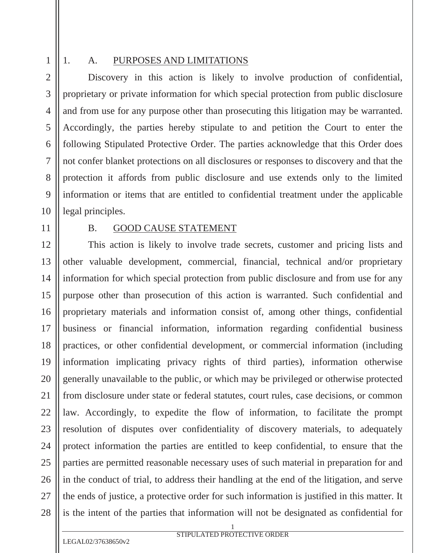1

2

3

4

5

6

7

8

9

10

11

12

13

14

15

16

17

18

19

20

21

22

23

24

25

26

27

28

#### 1. A. PURPOSES AND LIMITATIONS

Discovery in this action is likely to involve production of confidential, proprietary or private information for which special protection from public disclosure and from use for any purpose other than prosecuting this litigation may be warranted. Accordingly, the parties hereby stipulate to and petition the Court to enter the following Stipulated Protective Order. The parties acknowledge that this Order does not confer blanket protections on all disclosures or responses to discovery and that the protection it affords from public disclosure and use extends only to the limited information or items that are entitled to confidential treatment under the applicable legal principles.

#### B. GOOD CAUSE STATEMENT

This action is likely to involve trade secrets, customer and pricing lists and other valuable development, commercial, financial, technical and/or proprietary information for which special protection from public disclosure and from use for any purpose other than prosecution of this action is warranted. Such confidential and proprietary materials and information consist of, among other things, confidential business or financial information, information regarding confidential business practices, or other confidential development, or commercial information (including information implicating privacy rights of third parties), information otherwise generally unavailable to the public, or which may be privileged or otherwise protected from disclosure under state or federal statutes, court rules, case decisions, or common law. Accordingly, to expedite the flow of information, to facilitate the prompt resolution of disputes over confidentiality of discovery materials, to adequately protect information the parties are entitled to keep confidential, to ensure that the parties are permitted reasonable necessary uses of such material in preparation for and in the conduct of trial, to address their handling at the end of the litigation, and serve the ends of justice, a protective order for such information is justified in this matter. It is the intent of the parties that information will not be designated as confidential for

LEGAL02/37638650v2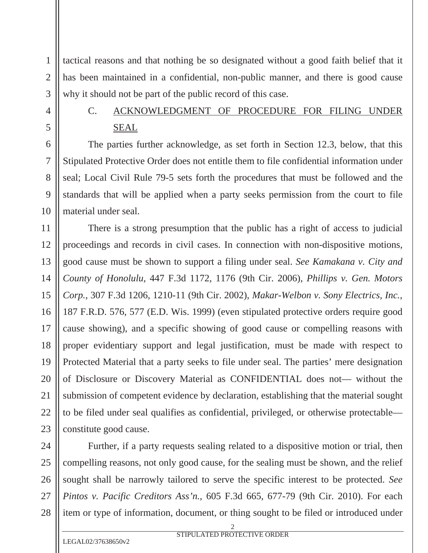tactical reasons and that nothing be so designated without a good faith belief that it has been maintained in a confidential, non-public manner, and there is good cause why it should not be part of the public record of this case.

## C. ACKNOWLEDGMENT OF PROCEDURE FOR FILING UNDER SEAL

The parties further acknowledge, as set forth in Section 12.3, below, that this Stipulated Protective Order does not entitle them to file confidential information under seal; Local Civil Rule 79-5 sets forth the procedures that must be followed and the standards that will be applied when a party seeks permission from the court to file material under seal.

There is a strong presumption that the public has a right of access to judicial proceedings and records in civil cases. In connection with non-dispositive motions, good cause must be shown to support a filing under seal. *See Kamakana v. City and County of Honolulu*, 447 F.3d 1172, 1176 (9th Cir. 2006), *Phillips v. Gen. Motors Corp.*, 307 F.3d 1206, 1210-11 (9th Cir. 2002), *Makar-Welbon v. Sony Electrics, Inc.*, 187 F.R.D. 576, 577 (E.D. Wis. 1999) (even stipulated protective orders require good cause showing), and a specific showing of good cause or compelling reasons with proper evidentiary support and legal justification, must be made with respect to Protected Material that a party seeks to file under seal. The parties' mere designation of Disclosure or Discovery Material as CONFIDENTIAL does not— without the submission of competent evidence by declaration, establishing that the material sought to be filed under seal qualifies as confidential, privileged, or otherwise protectable constitute good cause.

Further, if a party requests sealing related to a dispositive motion or trial, then compelling reasons, not only good cause, for the sealing must be shown, and the relief sought shall be narrowly tailored to serve the specific interest to be protected. *See Pintos v. Pacific Creditors Ass'n.*, 605 F.3d 665, 677-79 (9th Cir. 2010). For each item or type of information, document, or thing sought to be filed or introduced under

1

2

3

4

5

6

7

8

9

10

11

12

13

14

15

16

17

18

19

20

21

22

23

24

25

26

27

28

LEGAL02/37638650v2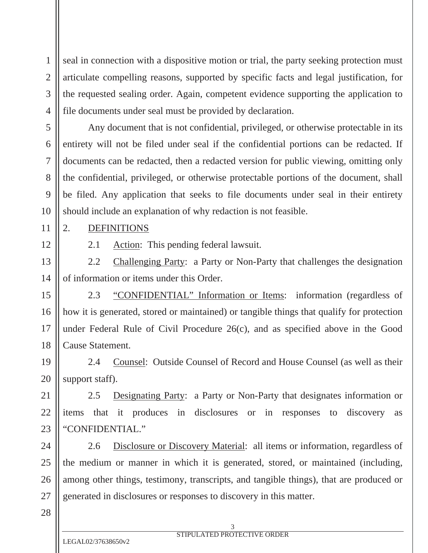seal in connection with a dispositive motion or trial, the party seeking protection must articulate compelling reasons, supported by specific facts and legal justification, for the requested sealing order. Again, competent evidence supporting the application to file documents under seal must be provided by declaration.

Any document that is not confidential, privileged, or otherwise protectable in its entirety will not be filed under seal if the confidential portions can be redacted. If documents can be redacted, then a redacted version for public viewing, omitting only the confidential, privileged, or otherwise protectable portions of the document, shall be filed. Any application that seeks to file documents under seal in their entirety should include an explanation of why redaction is not feasible.

2. DEFINITIONS

1

2

3

4

5

6

7

8

9

10

11

12

13

14

15

16

17

18

19

20

21

22

23

2.1 Action: This pending federal lawsuit.

2.2 Challenging Party: a Party or Non-Party that challenges the designation of information or items under this Order.

2.3 "CONFIDENTIAL" Information or Items: information (regardless of how it is generated, stored or maintained) or tangible things that qualify for protection under Federal Rule of Civil Procedure 26(c), and as specified above in the Good Cause Statement.

2.4 Counsel: Outside Counsel of Record and House Counsel (as well as their support staff).

2.5 Designating Party: a Party or Non-Party that designates information or items that it produces in disclosures or in responses to discovery as "CONFIDENTIAL."

24 25 26 27 2.6 Disclosure or Discovery Material: all items or information, regardless of the medium or manner in which it is generated, stored, or maintained (including, among other things, testimony, transcripts, and tangible things), that are produced or generated in disclosures or responses to discovery in this matter.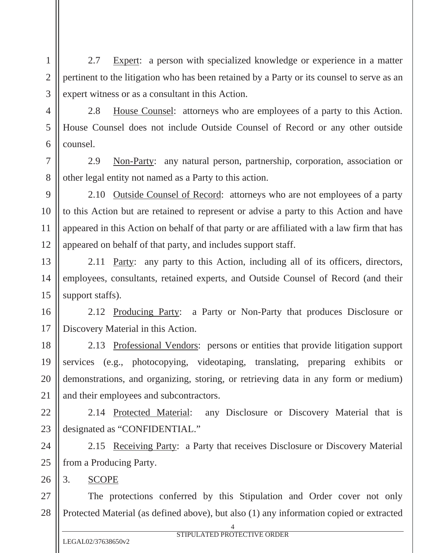2.7 Expert: a person with specialized knowledge or experience in a matter pertinent to the litigation who has been retained by a Party or its counsel to serve as an expert witness or as a consultant in this Action.

2.8 House Counsel: attorneys who are employees of a party to this Action. House Counsel does not include Outside Counsel of Record or any other outside counsel.

2.9 Non-Party: any natural person, partnership, corporation, association or other legal entity not named as a Party to this action.

2.10 Outside Counsel of Record: attorneys who are not employees of a party to this Action but are retained to represent or advise a party to this Action and have appeared in this Action on behalf of that party or are affiliated with a law firm that has appeared on behalf of that party, and includes support staff.

2.11 Party: any party to this Action, including all of its officers, directors, employees, consultants, retained experts, and Outside Counsel of Record (and their support staffs).

2.12 Producing Party: a Party or Non-Party that produces Disclosure or Discovery Material in this Action.

2.13 Professional Vendors: persons or entities that provide litigation support services (e.g., photocopying, videotaping, translating, preparing exhibits or demonstrations, and organizing, storing, or retrieving data in any form or medium) and their employees and subcontractors.

2.14 Protected Material: any Disclosure or Discovery Material that is designated as "CONFIDENTIAL."

24 25 2.15 Receiving Party: a Party that receives Disclosure or Discovery Material from a Producing Party.

3. SCOPE

1

2

3

4

5

6

7

8

9

10

11

12

13

14

15

16

17

18

19

20

21

22

23

26

27 28 The protections conferred by this Stipulation and Order cover not only Protected Material (as defined above), but also (1) any information copied or extracted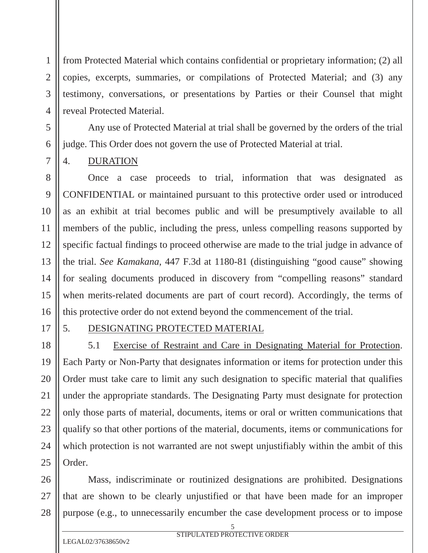from Protected Material which contains confidential or proprietary information; (2) all copies, excerpts, summaries, or compilations of Protected Material; and (3) any testimony, conversations, or presentations by Parties or their Counsel that might reveal Protected Material.

Any use of Protected Material at trial shall be governed by the orders of the trial judge. This Order does not govern the use of Protected Material at trial.

### 4. DURATION

Once a case proceeds to trial, information that was designated as CONFIDENTIAL or maintained pursuant to this protective order used or introduced as an exhibit at trial becomes public and will be presumptively available to all members of the public, including the press, unless compelling reasons supported by specific factual findings to proceed otherwise are made to the trial judge in advance of the trial. *See Kamakana*, 447 F.3d at 1180-81 (distinguishing "good cause" showing for sealing documents produced in discovery from "compelling reasons" standard when merits-related documents are part of court record). Accordingly, the terms of this protective order do not extend beyond the commencement of the trial.

### 5. DESIGNATING PROTECTED MATERIAL

5.1 Exercise of Restraint and Care in Designating Material for Protection. Each Party or Non-Party that designates information or items for protection under this Order must take care to limit any such designation to specific material that qualifies under the appropriate standards. The Designating Party must designate for protection only those parts of material, documents, items or oral or written communications that qualify so that other portions of the material, documents, items or communications for which protection is not warranted are not swept unjustifiably within the ambit of this Order.

Mass, indiscriminate or routinized designations are prohibited. Designations that are shown to be clearly unjustified or that have been made for an improper purpose (e.g., to unnecessarily encumber the case development process or to impose

5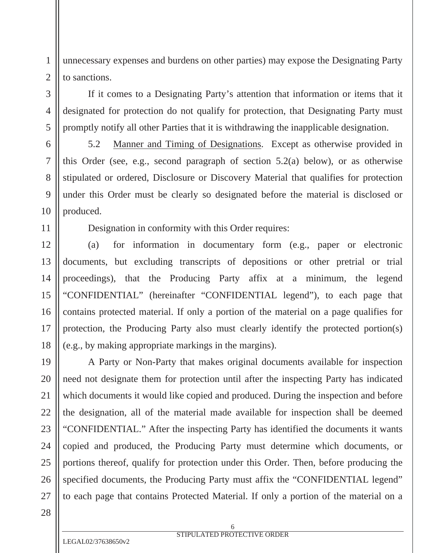unnecessary expenses and burdens on other parties) may expose the Designating Party to sanctions.

If it comes to a Designating Party's attention that information or items that it designated for protection do not qualify for protection, that Designating Party must promptly notify all other Parties that it is withdrawing the inapplicable designation.

5.2 Manner and Timing of Designations. Except as otherwise provided in this Order (see, e.g., second paragraph of section 5.2(a) below), or as otherwise stipulated or ordered, Disclosure or Discovery Material that qualifies for protection under this Order must be clearly so designated before the material is disclosed or produced.

Designation in conformity with this Order requires:

(a) for information in documentary form (e.g., paper or electronic documents, but excluding transcripts of depositions or other pretrial or trial proceedings), that the Producing Party affix at a minimum, the legend "CONFIDENTIAL" (hereinafter "CONFIDENTIAL legend"), to each page that contains protected material. If only a portion of the material on a page qualifies for protection, the Producing Party also must clearly identify the protected portion(s) (e.g., by making appropriate markings in the margins).

A Party or Non-Party that makes original documents available for inspection need not designate them for protection until after the inspecting Party has indicated which documents it would like copied and produced. During the inspection and before the designation, all of the material made available for inspection shall be deemed "CONFIDENTIAL." After the inspecting Party has identified the documents it wants copied and produced, the Producing Party must determine which documents, or portions thereof, qualify for protection under this Order. Then, before producing the specified documents, the Producing Party must affix the "CONFIDENTIAL legend" to each page that contains Protected Material. If only a portion of the material on a

1

2

3

4

5

6

7

8

9

10

11

12

13

14

15

16

17

18

19

20

21

22

23

24

25

26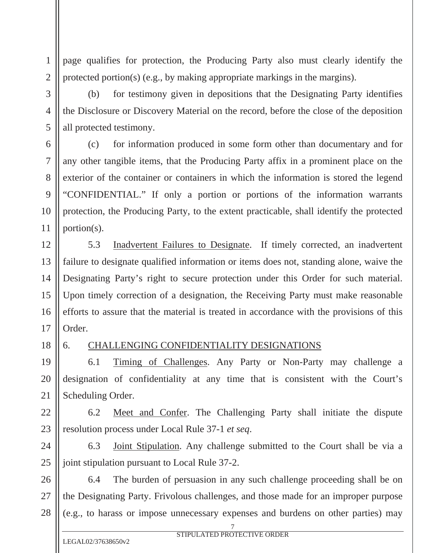page qualifies for protection, the Producing Party also must clearly identify the protected portion(s) (e.g., by making appropriate markings in the margins).

(b) for testimony given in depositions that the Designating Party identifies the Disclosure or Discovery Material on the record, before the close of the deposition all protected testimony.

(c) for information produced in some form other than documentary and for any other tangible items, that the Producing Party affix in a prominent place on the exterior of the container or containers in which the information is stored the legend "CONFIDENTIAL." If only a portion or portions of the information warrants protection, the Producing Party, to the extent practicable, shall identify the protected portion(s).

5.3 Inadvertent Failures to Designate. If timely corrected, an inadvertent failure to designate qualified information or items does not, standing alone, waive the Designating Party's right to secure protection under this Order for such material. Upon timely correction of a designation, the Receiving Party must make reasonable efforts to assure that the material is treated in accordance with the provisions of this Order.

#### 6. CHALLENGING CONFIDENTIALITY DESIGNATIONS

6.1 Timing of Challenges. Any Party or Non-Party may challenge a designation of confidentiality at any time that is consistent with the Court's Scheduling Order.

6.2 Meet and Confer. The Challenging Party shall initiate the dispute resolution process under Local Rule 37-1 *et seq*.

6.3 Joint Stipulation. Any challenge submitted to the Court shall be via a joint stipulation pursuant to Local Rule 37-2.

6.4 The burden of persuasion in any such challenge proceeding shall be on the Designating Party. Frivolous challenges, and those made for an improper purpose (e.g., to harass or impose unnecessary expenses and burdens on other parties) may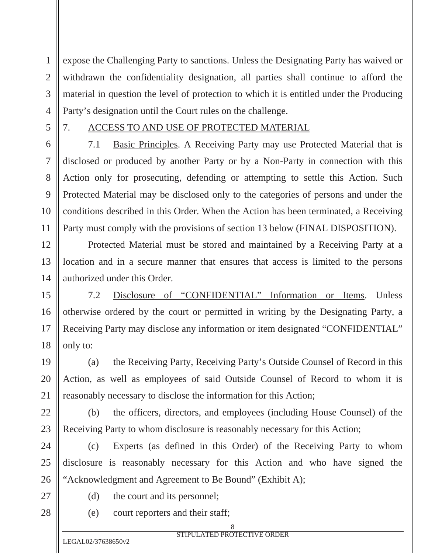expose the Challenging Party to sanctions. Unless the Designating Party has waived or withdrawn the confidentiality designation, all parties shall continue to afford the material in question the level of protection to which it is entitled under the Producing Party's designation until the Court rules on the challenge.

5

1

2

3

4

6

7

8

9

10

11

12

13

14

15

16

17

18

19

20

21

22

23

25

28

#### 7. ACCESS TO AND USE OF PROTECTED MATERIAL

7.1 Basic Principles. A Receiving Party may use Protected Material that is disclosed or produced by another Party or by a Non-Party in connection with this Action only for prosecuting, defending or attempting to settle this Action. Such Protected Material may be disclosed only to the categories of persons and under the conditions described in this Order. When the Action has been terminated, a Receiving Party must comply with the provisions of section 13 below (FINAL DISPOSITION).

Protected Material must be stored and maintained by a Receiving Party at a location and in a secure manner that ensures that access is limited to the persons authorized under this Order.

7.2 Disclosure of "CONFIDENTIAL" Information or Items. Unless otherwise ordered by the court or permitted in writing by the Designating Party, a Receiving Party may disclose any information or item designated "CONFIDENTIAL" only to:

(a) the Receiving Party, Receiving Party's Outside Counsel of Record in this Action, as well as employees of said Outside Counsel of Record to whom it is reasonably necessary to disclose the information for this Action;

(b) the officers, directors, and employees (including House Counsel) of the Receiving Party to whom disclosure is reasonably necessary for this Action;

24 26 (c) Experts (as defined in this Order) of the Receiving Party to whom disclosure is reasonably necessary for this Action and who have signed the "Acknowledgment and Agreement to Be Bound" (Exhibit A);

- 27
- (d) the court and its personnel;
- (e) court reporters and their staff;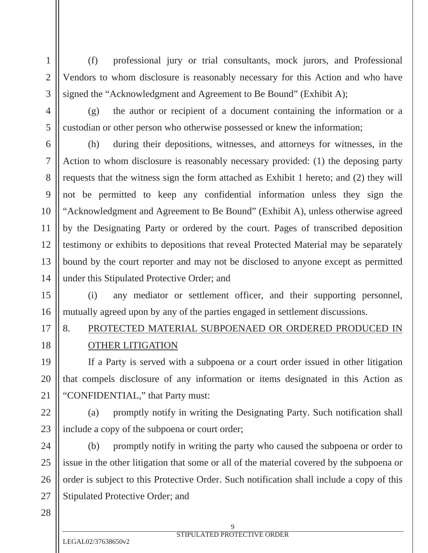(f) professional jury or trial consultants, mock jurors, and Professional Vendors to whom disclosure is reasonably necessary for this Action and who have signed the "Acknowledgment and Agreement to Be Bound" (Exhibit A);

(g) the author or recipient of a document containing the information or a custodian or other person who otherwise possessed or knew the information;

(h) during their depositions, witnesses, and attorneys for witnesses, in the Action to whom disclosure is reasonably necessary provided: (1) the deposing party requests that the witness sign the form attached as Exhibit 1 hereto; and (2) they will not be permitted to keep any confidential information unless they sign the "Acknowledgment and Agreement to Be Bound" (Exhibit A), unless otherwise agreed by the Designating Party or ordered by the court. Pages of transcribed deposition testimony or exhibits to depositions that reveal Protected Material may be separately bound by the court reporter and may not be disclosed to anyone except as permitted under this Stipulated Protective Order; and

(i) any mediator or settlement officer, and their supporting personnel, mutually agreed upon by any of the parties engaged in settlement discussions.

# 8. PROTECTED MATERIAL SUBPOENAED OR ORDERED PRODUCED IN OTHER LITIGATION

If a Party is served with a subpoena or a court order issued in other litigation that compels disclosure of any information or items designated in this Action as "CONFIDENTIAL," that Party must:

(a) promptly notify in writing the Designating Party. Such notification shall include a copy of the subpoena or court order;

(b) promptly notify in writing the party who caused the subpoena or order to issue in the other litigation that some or all of the material covered by the subpoena or order is subject to this Protective Order. Such notification shall include a copy of this Stipulated Protective Order; and

28

27

1

2

3

4

5

6

7

8

9

10

11

12

13

14

15

16

17

18

19

20

21

22

23

24

25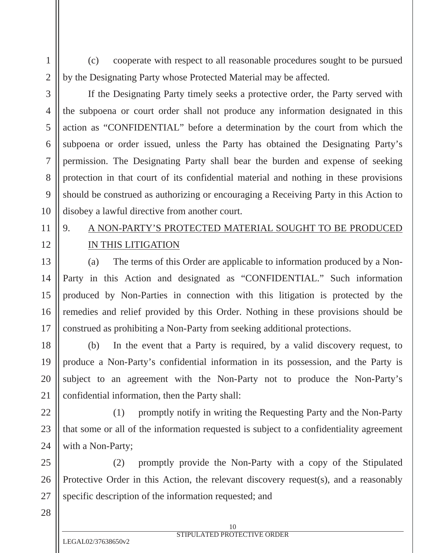(c) cooperate with respect to all reasonable procedures sought to be pursued by the Designating Party whose Protected Material may be affected.

1

2

3

4

5

6

7

8

9

10

11

12

13

14

15

16

17

18

19

20

21

22

23

24

25

If the Designating Party timely seeks a protective order, the Party served with the subpoena or court order shall not produce any information designated in this action as "CONFIDENTIAL" before a determination by the court from which the subpoena or order issued, unless the Party has obtained the Designating Party's permission. The Designating Party shall bear the burden and expense of seeking protection in that court of its confidential material and nothing in these provisions should be construed as authorizing or encouraging a Receiving Party in this Action to disobey a lawful directive from another court.

## 9. A NON-PARTY'S PROTECTED MATERIAL SOUGHT TO BE PRODUCED IN THIS LITIGATION

(a) The terms of this Order are applicable to information produced by a Non-Party in this Action and designated as "CONFIDENTIAL." Such information produced by Non-Parties in connection with this litigation is protected by the remedies and relief provided by this Order. Nothing in these provisions should be construed as prohibiting a Non-Party from seeking additional protections.

(b) In the event that a Party is required, by a valid discovery request, to produce a Non-Party's confidential information in its possession, and the Party is subject to an agreement with the Non-Party not to produce the Non-Party's confidential information, then the Party shall:

(1) promptly notify in writing the Requesting Party and the Non-Party that some or all of the information requested is subject to a confidentiality agreement with a Non-Party;

26 (2) promptly provide the Non-Party with a copy of the Stipulated Protective Order in this Action, the relevant discovery request(s), and a reasonably specific description of the information requested; and

28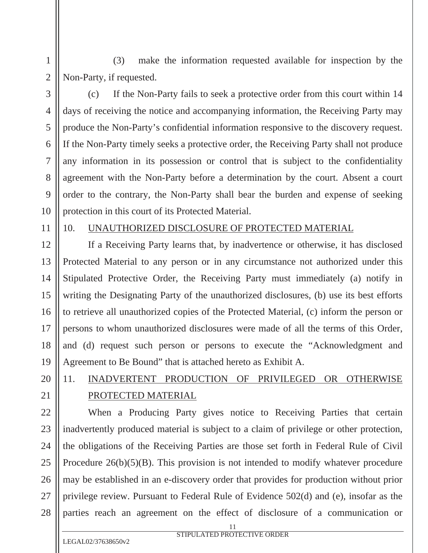(3) make the information requested available for inspection by the Non-Party, if requested.

1

2

3

4

5

6

7

8

9

10

12

13

14

15

16

17

18

19

20

21

22

23

24

25

26

27

28

(c) If the Non-Party fails to seek a protective order from this court within 14 days of receiving the notice and accompanying information, the Receiving Party may produce the Non-Party's confidential information responsive to the discovery request. If the Non-Party timely seeks a protective order, the Receiving Party shall not produce any information in its possession or control that is subject to the confidentiality agreement with the Non-Party before a determination by the court. Absent a court order to the contrary, the Non-Party shall bear the burden and expense of seeking protection in this court of its Protected Material.

11

### 10. UNAUTHORIZED DISCLOSURE OF PROTECTED MATERIAL

If a Receiving Party learns that, by inadvertence or otherwise, it has disclosed Protected Material to any person or in any circumstance not authorized under this Stipulated Protective Order, the Receiving Party must immediately (a) notify in writing the Designating Party of the unauthorized disclosures, (b) use its best efforts to retrieve all unauthorized copies of the Protected Material, (c) inform the person or persons to whom unauthorized disclosures were made of all the terms of this Order, and (d) request such person or persons to execute the "Acknowledgment and Agreement to Be Bound" that is attached hereto as Exhibit A.

## 11. INADVERTENT PRODUCTION OF PRIVILEGED OR OTHERWISE PROTECTED MATERIAL

When a Producing Party gives notice to Receiving Parties that certain inadvertently produced material is subject to a claim of privilege or other protection, the obligations of the Receiving Parties are those set forth in Federal Rule of Civil Procedure 26(b)(5)(B). This provision is not intended to modify whatever procedure may be established in an e-discovery order that provides for production without prior privilege review. Pursuant to Federal Rule of Evidence 502(d) and (e), insofar as the parties reach an agreement on the effect of disclosure of a communication or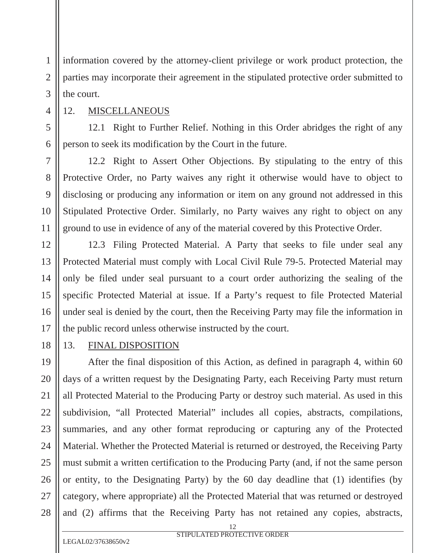information covered by the attorney-client privilege or work product protection, the parties may incorporate their agreement in the stipulated protective order submitted to the court.

1

2

3

4

5

6

7

8

9

10

11

12

13

14

15

16

17

18

19

20

21

22

23

24

25

26

27

12. MISCELLANEOUS

12.1 Right to Further Relief. Nothing in this Order abridges the right of any person to seek its modification by the Court in the future.

12.2 Right to Assert Other Objections. By stipulating to the entry of this Protective Order, no Party waives any right it otherwise would have to object to disclosing or producing any information or item on any ground not addressed in this Stipulated Protective Order. Similarly, no Party waives any right to object on any ground to use in evidence of any of the material covered by this Protective Order.

12.3 Filing Protected Material. A Party that seeks to file under seal any Protected Material must comply with Local Civil Rule 79-5. Protected Material may only be filed under seal pursuant to a court order authorizing the sealing of the specific Protected Material at issue. If a Party's request to file Protected Material under seal is denied by the court, then the Receiving Party may file the information in the public record unless otherwise instructed by the court.

13. FINAL DISPOSITION

After the final disposition of this Action, as defined in paragraph 4, within 60 days of a written request by the Designating Party, each Receiving Party must return all Protected Material to the Producing Party or destroy such material. As used in this subdivision, "all Protected Material" includes all copies, abstracts, compilations, summaries, and any other format reproducing or capturing any of the Protected Material. Whether the Protected Material is returned or destroyed, the Receiving Party must submit a written certification to the Producing Party (and, if not the same person or entity, to the Designating Party) by the 60 day deadline that (1) identifies (by category, where appropriate) all the Protected Material that was returned or destroyed and (2) affirms that the Receiving Party has not retained any copies, abstracts,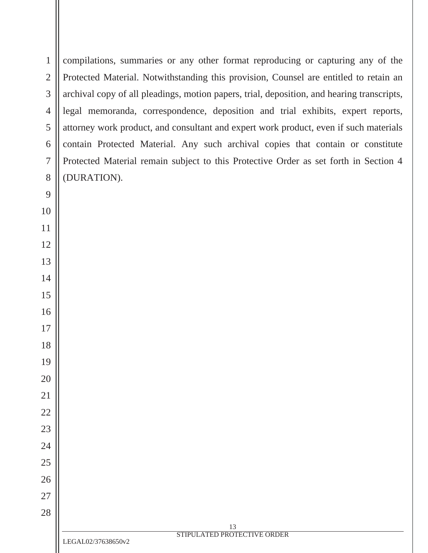| $\mathbf{1}$   | compilations, summaries or any other format reproducing or capturing any of the            |
|----------------|--------------------------------------------------------------------------------------------|
| $\mathbf{2}$   | Protected Material. Notwithstanding this provision, Counsel are entitled to retain an      |
| 3              | archival copy of all pleadings, motion papers, trial, deposition, and hearing transcripts, |
| $\overline{4}$ | legal memoranda, correspondence, deposition and trial exhibits, expert reports,            |
| 5              | attorney work product, and consultant and expert work product, even if such materials      |
| 6              | contain Protected Material. Any such archival copies that contain or constitute            |
| $\overline{7}$ | Protected Material remain subject to this Protective Order as set forth in Section 4       |
| 8              | (DURATION).                                                                                |
| 9              |                                                                                            |
| 10             |                                                                                            |
| 11             |                                                                                            |
| 12             |                                                                                            |
| 13             |                                                                                            |
| 14             |                                                                                            |
| 15             |                                                                                            |
| 16             |                                                                                            |
| 17             |                                                                                            |
| 18             |                                                                                            |
| 19             |                                                                                            |
| 20             |                                                                                            |
| 21             |                                                                                            |
| 22             |                                                                                            |
| 23             |                                                                                            |
| 24             |                                                                                            |
| 25             |                                                                                            |
| 26             |                                                                                            |
| 27             |                                                                                            |
| 28             |                                                                                            |
|                | 13<br>STIPULATED PROTECTIVE ORDER                                                          |
|                | LEGAL02/37638650v2                                                                         |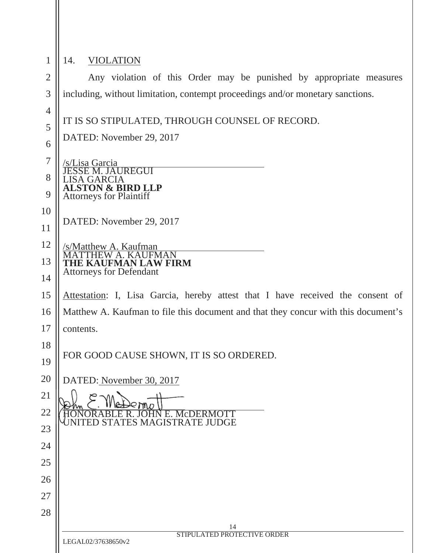| $\mathbf{1}$   | <b>VIOLATION</b><br>14.                                                            |  |
|----------------|------------------------------------------------------------------------------------|--|
| $\overline{2}$ | Any violation of this Order may be punished by appropriate measures                |  |
| 3              | including, without limitation, contempt proceedings and/or monetary sanctions.     |  |
| $\overline{4}$ |                                                                                    |  |
| 5              | IT IS SO STIPULATED, THROUGH COUNSEL OF RECORD.                                    |  |
| 6              | DATED: November 29, 2017                                                           |  |
| $\overline{7}$ | <u>'s/Lisa Garcia_</u>                                                             |  |
| 8              | <b>SSE M. JAUREGUI</b><br>SA GARCIA                                                |  |
| 9              | <b>ALSTON &amp; BIRD LLP</b><br><b>Attorneys for Plaintiff</b>                     |  |
| 10             |                                                                                    |  |
| 11             | DATED: November 29, 2017                                                           |  |
| 12             | /s/Matthew A. Kaufman                                                              |  |
| 13             | <b>KAUFMAN</b><br>THE KAUFMAN LAW FIRM                                             |  |
| 14             | <b>Attorneys for Defendant</b>                                                     |  |
| 15             | Attestation: I, Lisa Garcia, hereby attest that I have received the consent of     |  |
| 16             | Matthew A. Kaufman to file this document and that they concur with this document's |  |
| 17             | contents.                                                                          |  |
| 18             | FOR GOOD CAUSE SHOWN, IT IS SO ORDERED.                                            |  |
| 19             |                                                                                    |  |
| 20             | DATED: November 30, 2017                                                           |  |
| 21             |                                                                                    |  |
| 22             | E. McDERMOTT<br>ES MAGISTRATE JUDGE                                                |  |
| 23             |                                                                                    |  |
| 24             |                                                                                    |  |
| 25             |                                                                                    |  |
| 26             |                                                                                    |  |
| 27             |                                                                                    |  |
| 28             |                                                                                    |  |
|                | 14<br>STIPULATED PROTECTIVE ORDER                                                  |  |
|                | LEGAL02/37638650v2                                                                 |  |